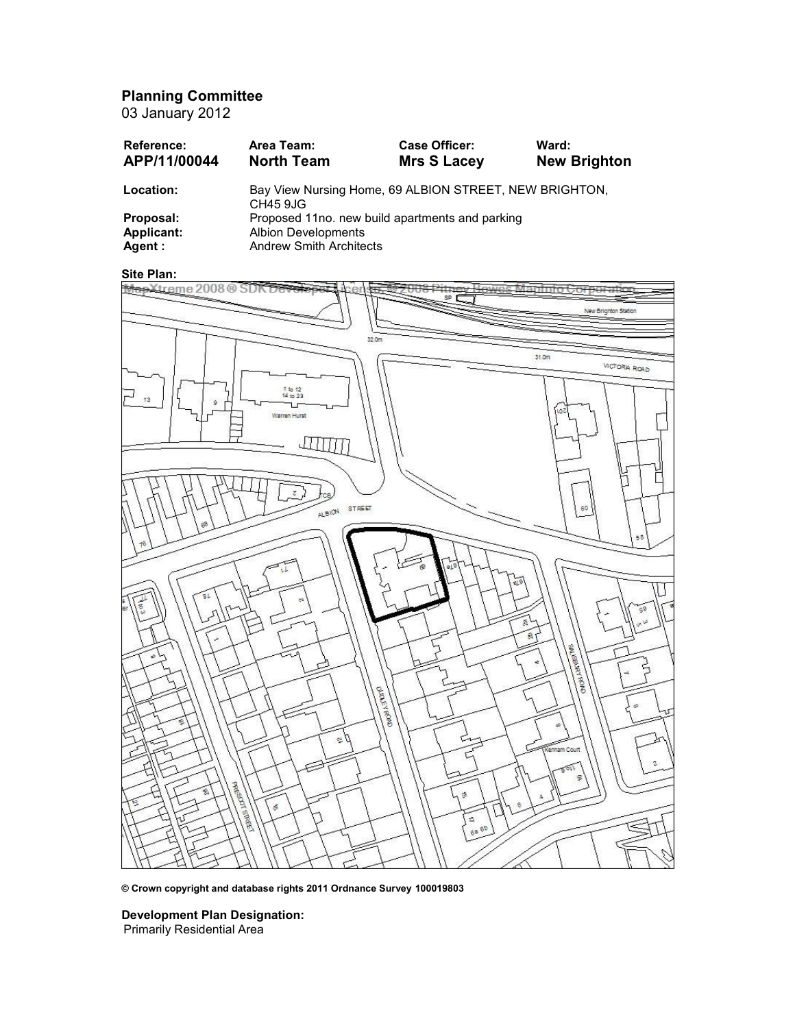Planning Committee

03 January 2012

| Reference:<br>APP/11/00044 | Area Team:<br><b>North Team</b>                                           | <b>Case Officer:</b><br><b>Mrs S Lacey</b> | Ward:<br><b>New Brighton</b> |
|----------------------------|---------------------------------------------------------------------------|--------------------------------------------|------------------------------|
| Location:                  | Bay View Nursing Home, 69 ALBION STREET, NEW BRIGHTON,<br><b>CH45 9JG</b> |                                            |                              |
| Proposal:                  | Proposed 11no. new build apartments and parking                           |                                            |                              |
| Applicant:                 | <b>Albion Developments</b>                                                |                                            |                              |
| Agent :                    | <b>Andrew Smith Architects</b>                                            |                                            |                              |



© Crown copyright and database rights 2011 Ordnance Survey 100019803

Development Plan Designation: Primarily Residential Area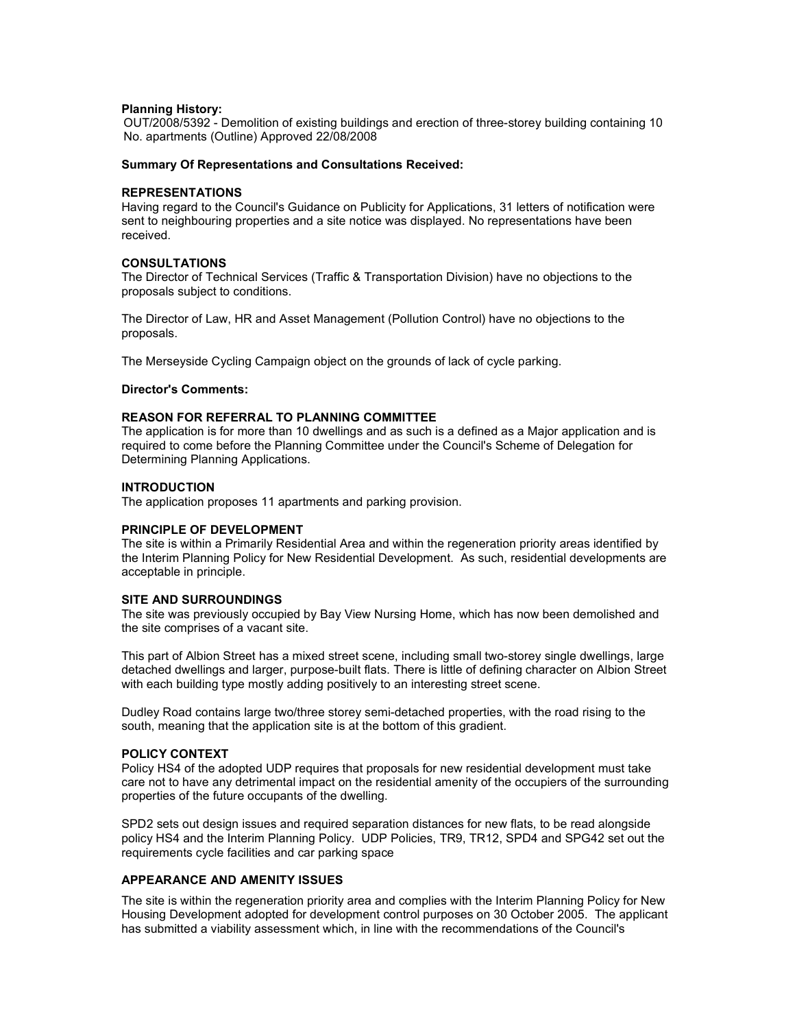## Planning History:

OUT/2008/5392 - Demolition of existing buildings and erection of three-storey building containing 10 No. apartments (Outline) Approved 22/08/2008

## Summary Of Representations and Consultations Received:

## REPRESENTATIONS

Having regard to the Council's Guidance on Publicity for Applications, 31 letters of notification were sent to neighbouring properties and a site notice was displayed. No representations have been received.

## CONSULTATIONS

The Director of Technical Services (Traffic & Transportation Division) have no objections to the proposals subject to conditions.

The Director of Law, HR and Asset Management (Pollution Control) have no objections to the proposals.

The Merseyside Cycling Campaign object on the grounds of lack of cycle parking.

## Director's Comments:

## REASON FOR REFERRAL TO PLANNING COMMITTEE

The application is for more than 10 dwellings and as such is a defined as a Major application and is required to come before the Planning Committee under the Council's Scheme of Delegation for Determining Planning Applications.

## INTRODUCTION

The application proposes 11 apartments and parking provision.

## PRINCIPLE OF DEVELOPMENT

The site is within a Primarily Residential Area and within the regeneration priority areas identified by the Interim Planning Policy for New Residential Development. As such, residential developments are acceptable in principle.

#### SITE AND SURROUNDINGS

The site was previously occupied by Bay View Nursing Home, which has now been demolished and the site comprises of a vacant site.

This part of Albion Street has a mixed street scene, including small two-storey single dwellings, large detached dwellings and larger, purpose-built flats. There is little of defining character on Albion Street with each building type mostly adding positively to an interesting street scene.

Dudley Road contains large two/three storey semi-detached properties, with the road rising to the south, meaning that the application site is at the bottom of this gradient.

#### POLICY CONTEXT

Policy HS4 of the adopted UDP requires that proposals for new residential development must take care not to have any detrimental impact on the residential amenity of the occupiers of the surrounding properties of the future occupants of the dwelling.

SPD2 sets out design issues and required separation distances for new flats, to be read alongside policy HS4 and the Interim Planning Policy. UDP Policies, TR9, TR12, SPD4 and SPG42 set out the requirements cycle facilities and car parking space

# APPEARANCE AND AMENITY ISSUES

The site is within the regeneration priority area and complies with the Interim Planning Policy for New Housing Development adopted for development control purposes on 30 October 2005. The applicant has submitted a viability assessment which, in line with the recommendations of the Council's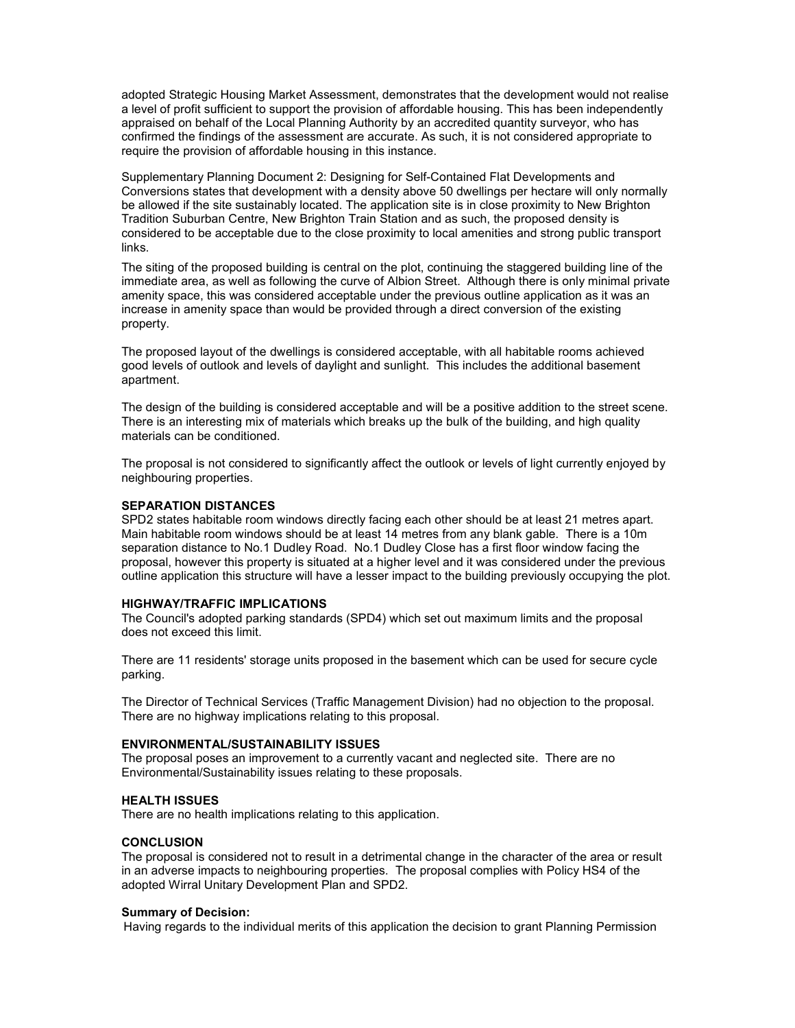adopted Strategic Housing Market Assessment, demonstrates that the development would not realise a level of profit sufficient to support the provision of affordable housing. This has been independently appraised on behalf of the Local Planning Authority by an accredited quantity surveyor, who has confirmed the findings of the assessment are accurate. As such, it is not considered appropriate to require the provision of affordable housing in this instance.

Supplementary Planning Document 2: Designing for Self-Contained Flat Developments and Conversions states that development with a density above 50 dwellings per hectare will only normally be allowed if the site sustainably located. The application site is in close proximity to New Brighton Tradition Suburban Centre, New Brighton Train Station and as such, the proposed density is considered to be acceptable due to the close proximity to local amenities and strong public transport links.

The siting of the proposed building is central on the plot, continuing the staggered building line of the immediate area, as well as following the curve of Albion Street. Although there is only minimal private amenity space, this was considered acceptable under the previous outline application as it was an increase in amenity space than would be provided through a direct conversion of the existing property.

The proposed layout of the dwellings is considered acceptable, with all habitable rooms achieved good levels of outlook and levels of daylight and sunlight. This includes the additional basement apartment.

The design of the building is considered acceptable and will be a positive addition to the street scene. There is an interesting mix of materials which breaks up the bulk of the building, and high quality materials can be conditioned.

The proposal is not considered to significantly affect the outlook or levels of light currently enjoyed by neighbouring properties.

## SEPARATION DISTANCES

SPD2 states habitable room windows directly facing each other should be at least 21 metres apart. Main habitable room windows should be at least 14 metres from any blank gable. There is a 10m separation distance to No.1 Dudley Road. No.1 Dudley Close has a first floor window facing the proposal, however this property is situated at a higher level and it was considered under the previous outline application this structure will have a lesser impact to the building previously occupying the plot.

### HIGHWAY/TRAFFIC IMPLICATIONS

The Council's adopted parking standards (SPD4) which set out maximum limits and the proposal does not exceed this limit.

There are 11 residents' storage units proposed in the basement which can be used for secure cycle parking.

The Director of Technical Services (Traffic Management Division) had no objection to the proposal. There are no highway implications relating to this proposal.

# ENVIRONMENTAL/SUSTAINABILITY ISSUES

The proposal poses an improvement to a currently vacant and neglected site. There are no Environmental/Sustainability issues relating to these proposals.

### HEALTH ISSUES

There are no health implications relating to this application.

#### **CONCLUSION**

The proposal is considered not to result in a detrimental change in the character of the area or result in an adverse impacts to neighbouring properties. The proposal complies with Policy HS4 of the adopted Wirral Unitary Development Plan and SPD2.

# Summary of Decision:

Having regards to the individual merits of this application the decision to grant Planning Permission